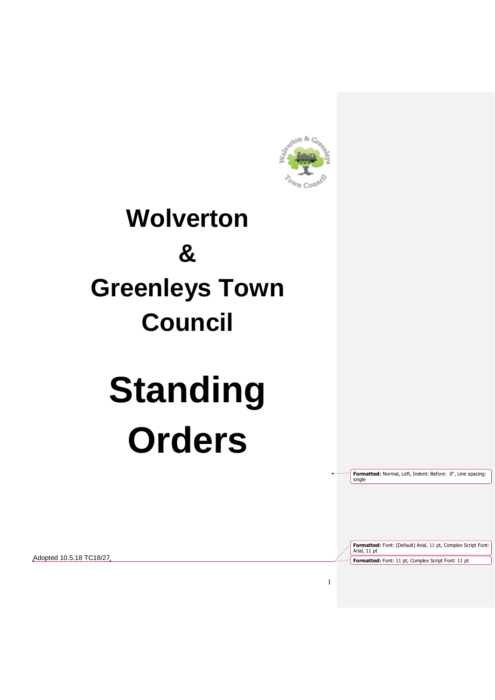

# **Wolverton & Greenleys Town Council**

# **Standing Orders**

Adopted 10.5.18 TC18/27

**Formatted:** Font: (Default) Arial, 11 pt, Complex Script Font: Arial, 11 pt **Formatted:** Font: 11 pt, Complex Script Font: 11 pt

**Formatted:** Normal, Left, Indent: Before: 0", Line spacing:

1

single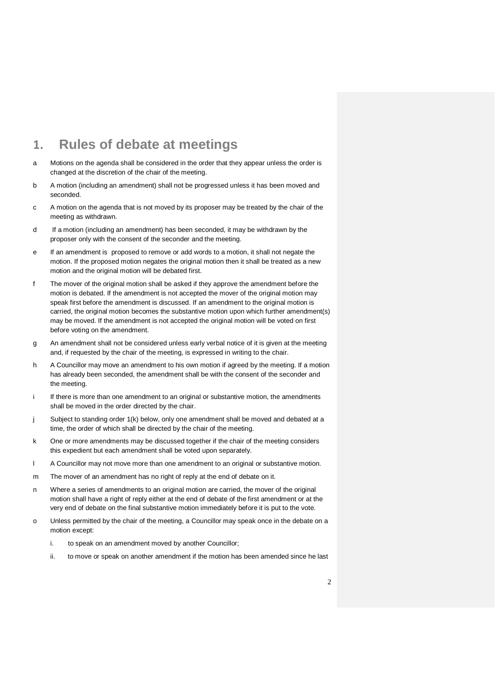#### **1. Rules of debate at meetings**

- a Motions on the agenda shall be considered in the order that they appear unless the order is changed at the discretion of the chair of the meeting.
- b A motion (including an amendment) shall not be progressed unless it has been moved and seconded.
- c A motion on the agenda that is not moved by its proposer may be treated by the chair of the meeting as withdrawn.
- d If a motion (including an amendment) has been seconded, it may be withdrawn by the proposer only with the consent of the seconder and the meeting.
- e If an amendment is proposed to remove or add words to a motion, it shall not negate the motion. If the proposed motion negates the original motion then it shall be treated as a new motion and the original motion will be debated first.
- f The mover of the original motion shall be asked if they approve the amendment before the motion is debated. If the amendment is not accepted the mover of the original motion may speak first before the amendment is discussed. If an amendment to the original motion is carried, the original motion becomes the substantive motion upon which further amendment(s) may be moved. If the amendment is not accepted the original motion will be voted on first before voting on the amendment.
- g An amendment shall not be considered unless early verbal notice of it is given at the meeting and, if requested by the chair of the meeting, is expressed in writing to the chair.
- h A Councillor may move an amendment to his own motion if agreed by the meeting. If a motion has already been seconded, the amendment shall be with the consent of the seconder and the meeting.
- i If there is more than one amendment to an original or substantive motion, the amendments shall be moved in the order directed by the chair.
- j Subject to standing order 1(k) below, only one amendment shall be moved and debated at a time, the order of which shall be directed by the chair of the meeting.
- k One or more amendments may be discussed together if the chair of the meeting considers this expedient but each amendment shall be voted upon separately.
- l A Councillor may not move more than one amendment to an original or substantive motion.
- m The mover of an amendment has no right of reply at the end of debate on it.
- n Where a series of amendments to an original motion are carried, the mover of the original motion shall have a right of reply either at the end of debate of the first amendment or at the very end of debate on the final substantive motion immediately before it is put to the vote.
- o Unless permitted by the chair of the meeting, a Councillor may speak once in the debate on a motion except:
	- i. to speak on an amendment moved by another Councillor;
	- ii. to move or speak on another amendment if the motion has been amended since he last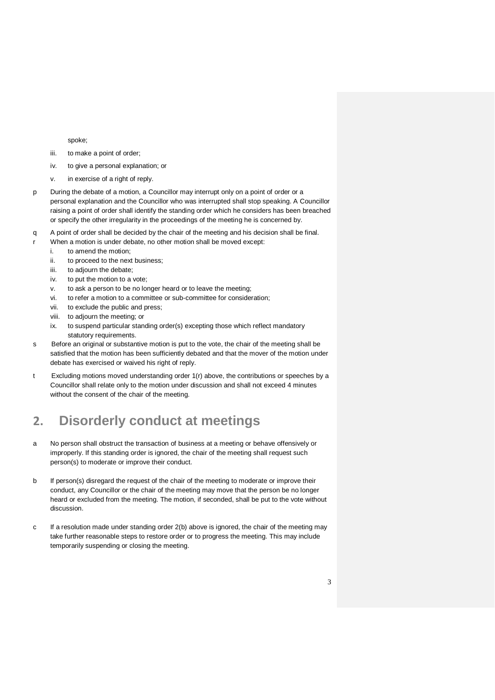spoke;

- iii. to make a point of order;
- iv. to give a personal explanation; or
- v. in exercise of a right of reply.
- p During the debate of a motion, a Councillor may interrupt only on a point of order or a personal explanation and the Councillor who was interrupted shall stop speaking. A Councillor raising a point of order shall identify the standing order which he considers has been breached or specify the other irregularity in the proceedings of the meeting he is concerned by.
- q A point of order shall be decided by the chair of the meeting and his decision shall be final.
- r When a motion is under debate, no other motion shall be moved except:
	- i. to amend the motion;
	- ii. to proceed to the next business;
	- iii. to adjourn the debate;
	- iv. to put the motion to a vote;
	- v. to ask a person to be no longer heard or to leave the meeting;
	- vi. to refer a motion to a committee or sub-committee for consideration;
	- vii. to exclude the public and press;
	- viii. to adjourn the meeting; or
	- ix. to suspend particular standing order(s) excepting those which reflect mandatory statutory requirements.
- s Before an original or substantive motion is put to the vote, the chair of the meeting shall be satisfied that the motion has been sufficiently debated and that the mover of the motion under debate has exercised or waived his right of reply.
- t Excluding motions moved understanding order 1(r) above, the contributions or speeches by a Councillor shall relate only to the motion under discussion and shall not exceed 4 minutes without the consent of the chair of the meeting.

#### **2. Disorderly conduct at meetings**

- a No person shall obstruct the transaction of business at a meeting or behave offensively or improperly. If this standing order is ignored, the chair of the meeting shall request such person(s) to moderate or improve their conduct.
- b If person(s) disregard the request of the chair of the meeting to moderate or improve their conduct, any Councillor or the chair of the meeting may move that the person be no longer heard or excluded from the meeting. The motion, if seconded, shall be put to the vote without discussion.
- c If a resolution made under standing order 2(b) above is ignored, the chair of the meeting may take further reasonable steps to restore order or to progress the meeting. This may include temporarily suspending or closing the meeting.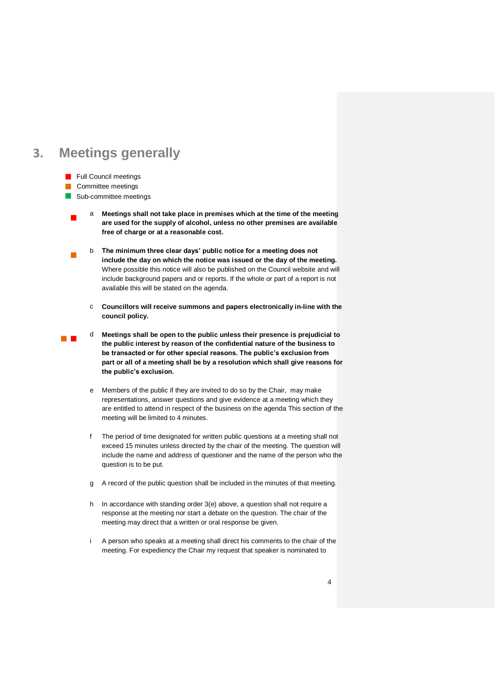#### **3. Meetings generally**

- Full Council meetings
- **Committee meetings**
- Sub-committee meetings
- $\blacksquare$ a **Meetings shall not take place in premises which at the time of the meeting are used for the supply of alcohol, unless no other premises are available free of charge or at a reasonable cost.**
- $\mathbb{R}^2$ b **The minimum three clear days' public notice for a meeting does not include the day on which the notice was issued or the day of the meeting.** Where possible this notice will also be published on the Council website and will include background papers and or reports. If the whole or part of a report is not available this will be stated on the agenda.
	- c **Councillors will receive summons and papers electronically in-line with the council policy.**
- $\mathbb{Z}^2$  . d **Meetings shall be open to the public unless their presence is prejudicial to the public interest by reason of the confidential nature of the business to be transacted or for other special reasons. The public's exclusion from part or all of a meeting shall be by a resolution which shall give reasons for the public's exclusion.**
	- e Members of the public if they are invited to do so by the Chair, may make representations, answer questions and give evidence at a meeting which they are entitled to attend in respect of the business on the agenda This section of the meeting will be limited to 4 minutes.
	- f The period of time designated for written public questions at a meeting shall not exceed 15 minutes unless directed by the chair of the meeting. The question will include the name and address of questioner and the name of the person who the question is to be put.
	- g A record of the public question shall be included in the minutes of that meeting.
	- h In accordance with standing order 3(e) above, a question shall not require a response at the meeting nor start a debate on the question. The chair of the meeting may direct that a written or oral response be given.
	- i A person who speaks at a meeting shall direct his comments to the chair of the meeting. For expediency the Chair my request that speaker is nominated to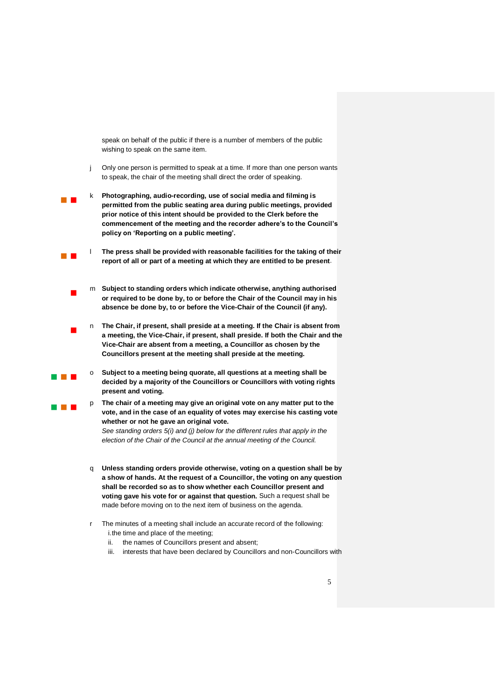speak on behalf of the public if there is a number of members of the public wishing to speak on the same item.

- j Only one person is permitted to speak at a time. If more than one person wants to speak, the chair of the meeting shall direct the order of speaking.
- $\mathbb{Z}^2$  . k **Photographing, audio-recording, use of social media and filming is permitted from the public seating area during public meetings, provided prior notice of this intent should be provided to the Clerk before the commencement of the meeting and the recorder adhere's to the Council's policy on 'Reporting on a public meeting'.**
- $\Box$  . The press shall be provided with reasonable facilities for the taking of their **report of all or part of a meeting at which they are entitled to be present**.
	- $\overline{\phantom{a}}$ m **Subject to standing orders which indicate otherwise, anything authorised or required to be done by, to or before the Chair of the Council may in his absence be done by, to or before the Vice-Chair of the Council (if any).**
	- $\mathbf{r}$ n **The Chair, if present, shall preside at a meeting. If the Chair is absent from a meeting, the Vice-Chair, if present, shall preside. If both the Chair and the Vice-Chair are absent from a meeting, a Councillor as chosen by the Councillors present at the meeting shall preside at the meeting.**
		- o **Subject to a meeting being quorate, all questions at a meeting shall be decided by a majority of the Councillors or Councillors with voting rights present and voting.**

 $\sim 10^{-1}$ 

a provinci

- p **The chair of a meeting may give an original vote on any matter put to the vote, and in the case of an equality of votes may exercise his casting vote whether or not he gave an original vote.** *See standing orders 5(i) and (j) below for the different rules that apply in the* 
	- *election of the Chair of the Council at the annual meeting of the Council.*
	- q **Unless standing orders provide otherwise, voting on a question shall be by a show of hands. At the request of a Councillor, the voting on any question shall be recorded so as to show whether each Councillor present and voting gave his vote for or against that question.** Such a request shall be made before moving on to the next item of business on the agenda.
	- r The minutes of a meeting shall include an accurate record of the following: i.the time and place of the meeting;
		- ii. the names of Councillors present and absent;
		- iii. interests that have been declared by Councillors and non-Councillors with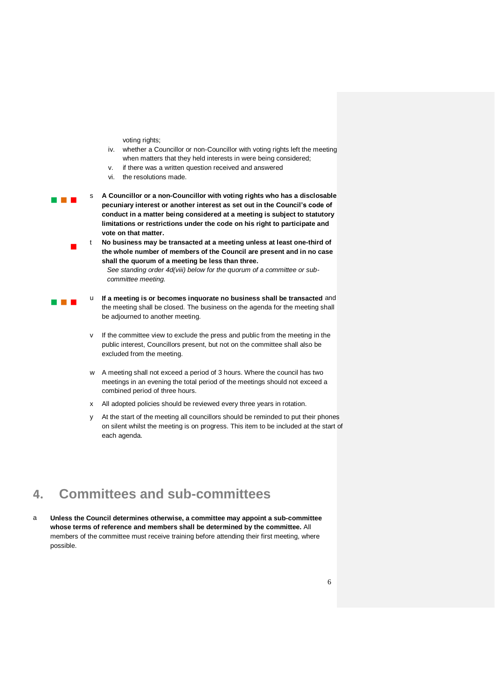voting rights;

 $\blacksquare$ 

 $\sim 10^{-1}$ 

- iv. whether a Councillor or non-Councillor with voting rights left the meeting when matters that they held interests in were being considered;
- v. if there was a written question received and answered
- vi. the resolutions made.

 $\sim 10^{-1}$ s **A Councillor or a non-Councillor with voting rights who has a disclosable pecuniary interest or another interest as set out in the Council's code of conduct in a matter being considered at a meeting is subject to statutory limitations or restrictions under the code on his right to participate and vote on that matter.**

> t **No business may be transacted at a meeting unless at least one-third of the whole number of members of the Council are present and in no case shall the quorum of a meeting be less than three.**

*See standing order 4d(viii) below for the quorum of a committee or subcommittee meeting.* 

- u **If a meeting is or becomes inquorate no business shall be transacted** and the meeting shall be closed. The business on the agenda for the meeting shall be adjourned to another meeting.
	- v If the committee view to exclude the press and public from the meeting in the public interest, Councillors present, but not on the committee shall also be excluded from the meeting.
	- w A meeting shall not exceed a period of 3 hours. Where the council has two meetings in an evening the total period of the meetings should not exceed a combined period of three hours.
	- x All adopted policies should be reviewed every three years in rotation.
	- y At the start of the meeting all councillors should be reminded to put their phones on silent whilst the meeting is on progress. This item to be included at the start of each agenda.

#### **4. Committees and sub-committees**

a **Unless the Council determines otherwise, a committee may appoint a sub-committee whose terms of reference and members shall be determined by the committee.** All members of the committee must receive training before attending their first meeting, where possible.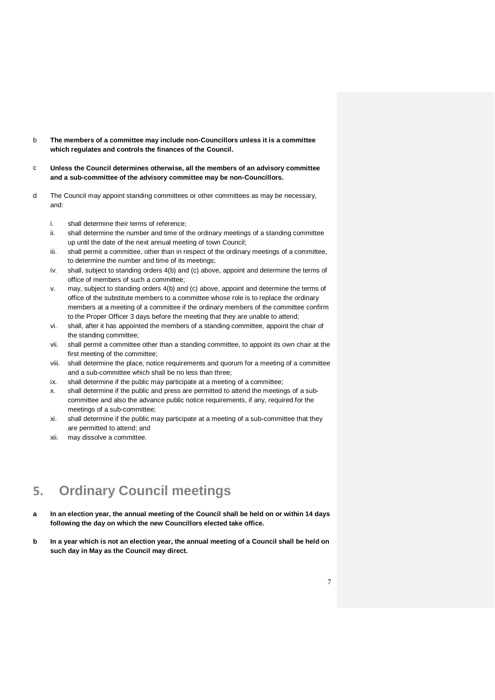- b **The members of a committee may include non-Councillors unless it is a committee which regulates and controls the finances of the Council.**
- c **Unless the Council determines otherwise, all the members of an advisory committee and a sub-committee of the advisory committee may be non-Councillors.**
- d The Council may appoint standing committees or other committees as may be necessary, and:
	- i. shall determine their terms of reference;
	- ii. shall determine the number and time of the ordinary meetings of a standing committee up until the date of the next annual meeting of town Council;
	- iii. shall permit a committee, other than in respect of the ordinary meetings of a committee, to determine the number and time of its meetings;
	- iv. shall, subject to standing orders 4(b) and (c) above, appoint and determine the terms of office of members of such a committee;
	- v. may, subject to standing orders 4(b) and (c) above, appoint and determine the terms of office of the substitute members to a committee whose role is to replace the ordinary members at a meeting of a committee if the ordinary members of the committee confirm to the Proper Officer 3 days before the meeting that they are unable to attend;
	- vi. shall, after it has appointed the members of a standing committee, appoint the chair of the standing committee;
	- vii. shall permit a committee other than a standing committee, to appoint its own chair at the first meeting of the committee;
	- viii. shall determine the place, notice requirements and quorum for a meeting of a committee and a sub-committee which shall be no less than three;
	- ix. shall determine if the public may participate at a meeting of a committee;
	- x. shall determine if the public and press are permitted to attend the meetings of a subcommittee and also the advance public notice requirements, if any, required for the meetings of a sub-committee;
	- xi. shall determine if the public may participate at a meeting of a sub-committee that they are permitted to attend; and
	- xii. may dissolve a committee.

#### **5. Ordinary Council meetings**

- **a In an election year, the annual meeting of the Council shall be held on or within 14 days following the day on which the new Councillors elected take office.**
- **b In a year which is not an election year, the annual meeting of a Council shall be held on such day in May as the Council may direct.**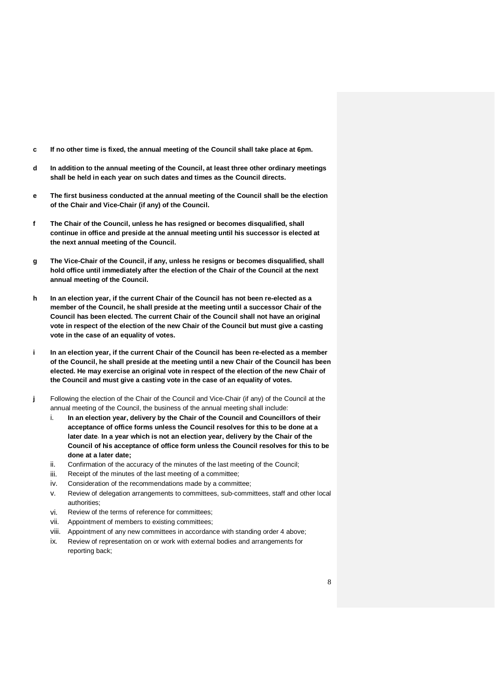- **c If no other time is fixed, the annual meeting of the Council shall take place at 6pm.**
- **d In addition to the annual meeting of the Council, at least three other ordinary meetings shall be held in each year on such dates and times as the Council directs.**
- **e The first business conducted at the annual meeting of the Council shall be the election of the Chair and Vice-Chair (if any) of the Council.**
- **f The Chair of the Council, unless he has resigned or becomes disqualified, shall continue in office and preside at the annual meeting until his successor is elected at the next annual meeting of the Council.**
- **g The Vice-Chair of the Council, if any, unless he resigns or becomes disqualified, shall hold office until immediately after the election of the Chair of the Council at the next annual meeting of the Council.**
- **h In an election year, if the current Chair of the Council has not been re-elected as a member of the Council, he shall preside at the meeting until a successor Chair of the Council has been elected. The current Chair of the Council shall not have an original vote in respect of the election of the new Chair of the Council but must give a casting vote in the case of an equality of votes.**
- **i In an election year, if the current Chair of the Council has been re-elected as a member of the Council, he shall preside at the meeting until a new Chair of the Council has been elected. He may exercise an original vote in respect of the election of the new Chair of the Council and must give a casting vote in the case of an equality of votes.**
- **j** Following the election of the Chair of the Council and Vice-Chair (if any) of the Council at the annual meeting of the Council, the business of the annual meeting shall include:
	- i. **In an election year, delivery by the Chair of the Council and Councillors of their acceptance of office forms unless the Council resolves for this to be done at a later date**. **In a year which is not an election year, delivery by the Chair of the Council of his acceptance of office form unless the Council resolves for this to be done at a later date;**
	- ii. Confirmation of the accuracy of the minutes of the last meeting of the Council;
	- iii. Receipt of the minutes of the last meeting of a committee;
	- iv. Consideration of the recommendations made by a committee;
	- v. Review of delegation arrangements to committees, sub-committees, staff and other local authorities;
	- vi. Review of the terms of reference for committees;
	- vii. Appointment of members to existing committees;
	- viii. Appointment of any new committees in accordance with standing order 4 above;
	- ix. Review of representation on or work with external bodies and arrangements for reporting back;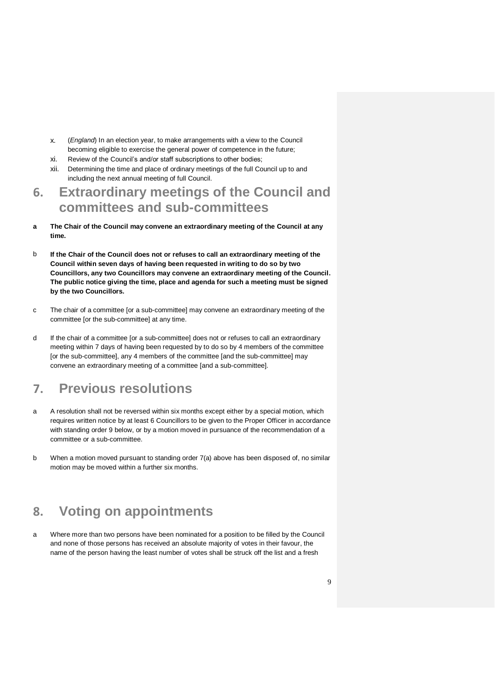- x. (*England*) In an election year, to make arrangements with a view to the Council becoming eligible to exercise the general power of competence in the future;
- xi. Review of the Council's and/or staff subscriptions to other bodies;
- xii. Determining the time and place of ordinary meetings of the full Council up to and including the next annual meeting of full Council.
- **6. Extraordinary meetings of the Council and committees and sub-committees**
- **a The Chair of the Council may convene an extraordinary meeting of the Council at any time.**
- b **If the Chair of the Council does not or refuses to call an extraordinary meeting of the Council within seven days of having been requested in writing to do so by two Councillors, any two Councillors may convene an extraordinary meeting of the Council. The public notice giving the time, place and agenda for such a meeting must be signed by the two Councillors.**
- c The chair of a committee [or a sub-committee] may convene an extraordinary meeting of the committee [or the sub-committee] at any time.
- d If the chair of a committee [or a sub-committee] does not or refuses to call an extraordinary meeting within 7 days of having been requested by to do so by 4 members of the committee [or the sub-committee], any 4 members of the committee [and the sub-committee] may convene an extraordinary meeting of a committee [and a sub-committee].

#### **7. Previous resolutions**

- a A resolution shall not be reversed within six months except either by a special motion, which requires written notice by at least 6 Councillors to be given to the Proper Officer in accordance with standing order 9 below, or by a motion moved in pursuance of the recommendation of a committee or a sub-committee.
- b When a motion moved pursuant to standing order 7(a) above has been disposed of, no similar motion may be moved within a further six months.

#### **8. Voting on appointments**

a Where more than two persons have been nominated for a position to be filled by the Council and none of those persons has received an absolute majority of votes in their favour, the name of the person having the least number of votes shall be struck off the list and a fresh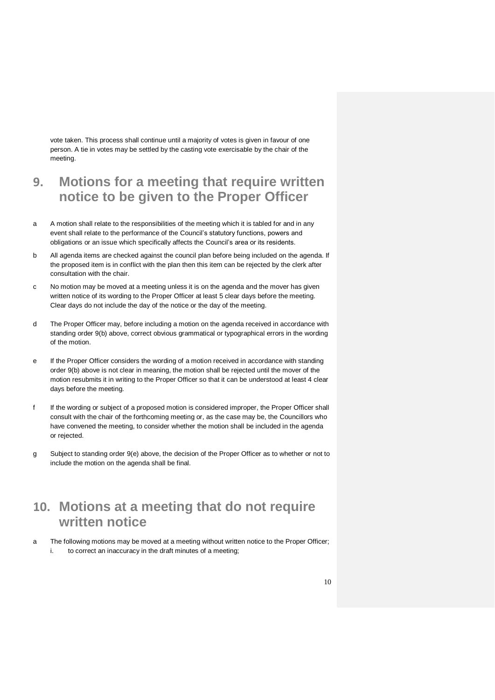vote taken. This process shall continue until a majority of votes is given in favour of one person. A tie in votes may be settled by the casting vote exercisable by the chair of the meeting.

#### **9. Motions for a meeting that require written notice to be given to the Proper Officer**

- a A motion shall relate to the responsibilities of the meeting which it is tabled for and in any event shall relate to the performance of the Council's statutory functions, powers and obligations or an issue which specifically affects the Council's area or its residents.
- b All agenda items are checked against the council plan before being included on the agenda. If the proposed item is in conflict with the plan then this item can be rejected by the clerk after consultation with the chair.
- c No motion may be moved at a meeting unless it is on the agenda and the mover has given written notice of its wording to the Proper Officer at least 5 clear days before the meeting. Clear days do not include the day of the notice or the day of the meeting.
- d The Proper Officer may, before including a motion on the agenda received in accordance with standing order 9(b) above, correct obvious grammatical or typographical errors in the wording of the motion.
- e If the Proper Officer considers the wording of a motion received in accordance with standing order 9(b) above is not clear in meaning, the motion shall be rejected until the mover of the motion resubmits it in writing to the Proper Officer so that it can be understood at least 4 clear days before the meeting.
- f If the wording or subject of a proposed motion is considered improper, the Proper Officer shall consult with the chair of the forthcoming meeting or, as the case may be, the Councillors who have convened the meeting, to consider whether the motion shall be included in the agenda or rejected.
- g Subject to standing order 9(e) above, the decision of the Proper Officer as to whether or not to include the motion on the agenda shall be final.

#### **10. Motions at a meeting that do not require written notice**

a The following motions may be moved at a meeting without written notice to the Proper Officer; i. to correct an inaccuracy in the draft minutes of a meeting;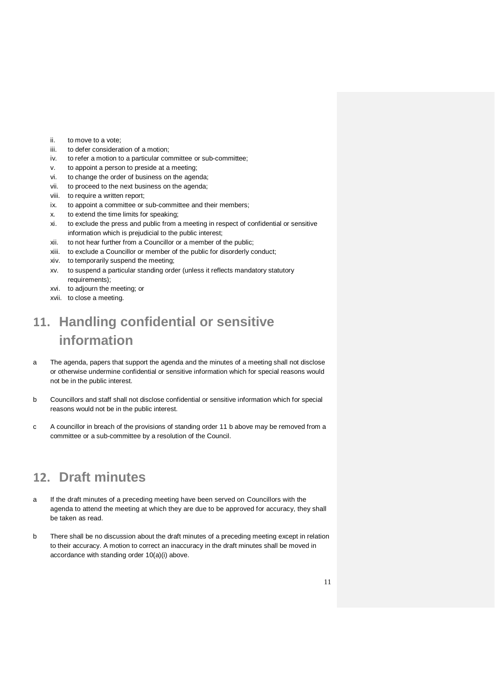- ii. to move to a vote;
- iii. to defer consideration of a motion;
- iv. to refer a motion to a particular committee or sub-committee;
- v. to appoint a person to preside at a meeting;
- vi. to change the order of business on the agenda;
- vii. to proceed to the next business on the agenda;
- viii. to require a written report;
- ix. to appoint a committee or sub-committee and their members;
- x. to extend the time limits for speaking;
- xi. to exclude the press and public from a meeting in respect of confidential or sensitive information which is prejudicial to the public interest;
- xii. to not hear further from a Councillor or a member of the public;
- xiii. to exclude a Councillor or member of the public for disorderly conduct;
- xiv. to temporarily suspend the meeting;
- xv. to suspend a particular standing order (unless it reflects mandatory statutory requirements);
- xvi. to adjourn the meeting; or
- xvii. to close a meeting.

### **11. Handling confidential or sensitive information**

- a The agenda, papers that support the agenda and the minutes of a meeting shall not disclose or otherwise undermine confidential or sensitive information which for special reasons would not be in the public interest.
- b Councillors and staff shall not disclose confidential or sensitive information which for special reasons would not be in the public interest.
- c A councillor in breach of the provisions of standing order 11 b above may be removed from a committee or a sub-committee by a resolution of the Council.

#### **12. Draft minutes**

- a If the draft minutes of a preceding meeting have been served on Councillors with the agenda to attend the meeting at which they are due to be approved for accuracy, they shall be taken as read.
- b There shall be no discussion about the draft minutes of a preceding meeting except in relation to their accuracy. A motion to correct an inaccuracy in the draft minutes shall be moved in accordance with standing order 10(a)(i) above.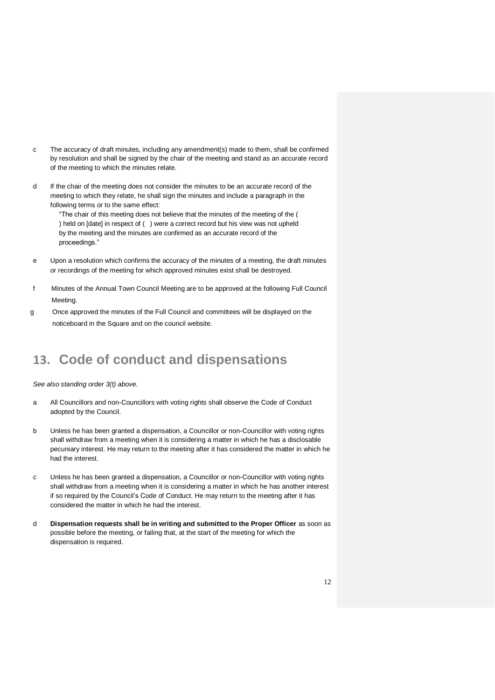- c The accuracy of draft minutes, including any amendment(s) made to them, shall be confirmed by resolution and shall be signed by the chair of the meeting and stand as an accurate record of the meeting to which the minutes relate.
- d If the chair of the meeting does not consider the minutes to be an accurate record of the meeting to which they relate, he shall sign the minutes and include a paragraph in the following terms or to the same effect:

"The chair of this meeting does not believe that the minutes of the meeting of the ( ) held on [date] in respect of ( ) were a correct record but his view was not upheld by the meeting and the minutes are confirmed as an accurate record of the proceedings."

- e Upon a resolution which confirms the accuracy of the minutes of a meeting, the draft minutes or recordings of the meeting for which approved minutes exist shall be destroyed.
- f Minutes of the Annual Town Council Meeting are to be approved at the following Full Council Meeting.
- g Once approved the minutes of the Full Council and committees will be displayed on the noticeboard in the Square and on the council website.

#### **13. Code of conduct and dispensations**

*See also standing order 3(t) above.* 

- a All Councillors and non-Councillors with voting rights shall observe the Code of Conduct adopted by the Council.
- b Unless he has been granted a dispensation, a Councillor or non-Councillor with voting rights shall withdraw from a meeting when it is considering a matter in which he has a disclosable pecuniary interest. He may return to the meeting after it has considered the matter in which he had the interest.
- c Unless he has been granted a dispensation, a Councillor or non-Councillor with voting rights shall withdraw from a meeting when it is considering a matter in which he has another interest if so required by the Council's Code of Conduct. He may return to the meeting after it has considered the matter in which he had the interest.
- d **Dispensation requests shall be in writing and submitted to the Proper Officer** as soon as possible before the meeting, or failing that, at the start of the meeting for which the dispensation is required.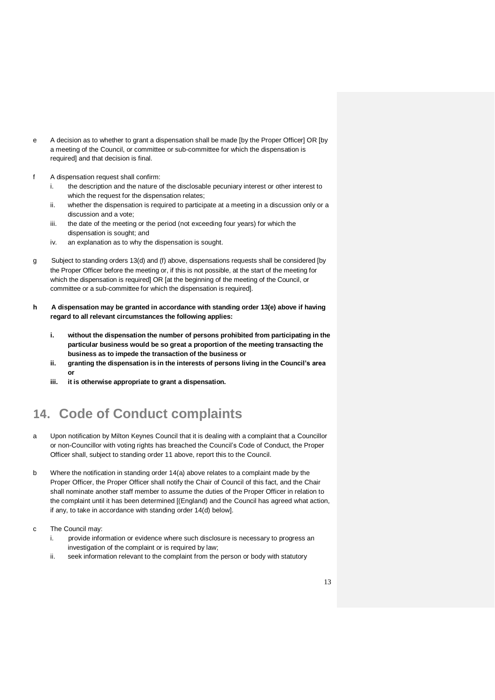- e A decision as to whether to grant a dispensation shall be made [by the Proper Officer] OR [by a meeting of the Council, or committee or sub-committee for which the dispensation is required] and that decision is final.
- f A dispensation request shall confirm:
	- i. the description and the nature of the disclosable pecuniary interest or other interest to which the request for the dispensation relates;
	- ii. whether the dispensation is required to participate at a meeting in a discussion only or a discussion and a vote;
	- iii. the date of the meeting or the period (not exceeding four years) for which the dispensation is sought; and
	- iv. an explanation as to why the dispensation is sought.
- g Subject to standing orders 13(d) and (f) above, dispensations requests shall be considered [by the Proper Officer before the meeting or, if this is not possible, at the start of the meeting for which the dispensation is required] OR [at the beginning of the meeting of the Council, or committee or a sub-committee for which the dispensation is required].
- **h A dispensation may be granted in accordance with standing order 13(e) above if having regard to all relevant circumstances the following applies:**
	- **i. without the dispensation the number of persons prohibited from participating in the particular business would be so great a proportion of the meeting transacting the business as to impede the transaction of the business or**
	- **ii. granting the dispensation is in the interests of persons living in the Council's area or**
	- **iii. it is otherwise appropriate to grant a dispensation.**

#### **14. Code of Conduct complaints**

- a Upon notification by Milton Keynes Council that it is dealing with a complaint that a Councillor or non-Councillor with voting rights has breached the Council's Code of Conduct, the Proper Officer shall, subject to standing order 11 above, report this to the Council.
- b Where the notification in standing order 14(a) above relates to a complaint made by the Proper Officer, the Proper Officer shall notify the Chair of Council of this fact, and the Chair shall nominate another staff member to assume the duties of the Proper Officer in relation to the complaint until it has been determined [(England) and the Council has agreed what action, if any, to take in accordance with standing order 14(d) below].
- c The Council may:
	- i. provide information or evidence where such disclosure is necessary to progress an investigation of the complaint or is required by law;
	- ii. seek information relevant to the complaint from the person or body with statutory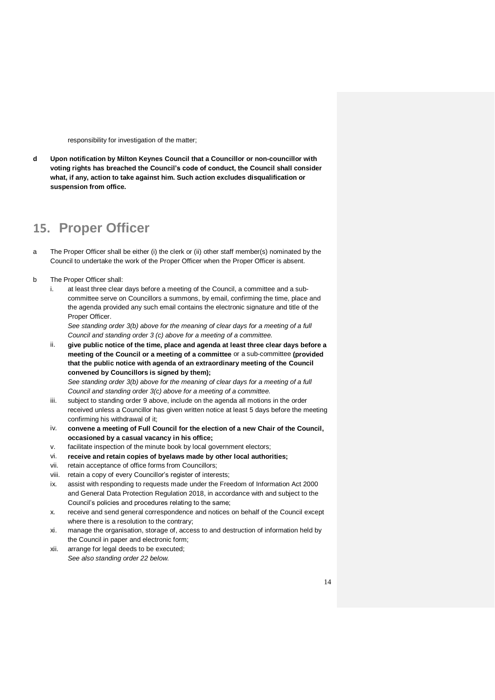responsibility for investigation of the matter;

**d Upon notification by Milton Keynes Council that a Councillor or non-councillor with voting rights has breached the Council's code of conduct, the Council shall consider what, if any, action to take against him. Such action excludes disqualification or suspension from office.**

#### **15. Proper Officer**

- a The Proper Officer shall be either (i) the clerk or (ii) other staff member(s) nominated by the Council to undertake the work of the Proper Officer when the Proper Officer is absent.
- b The Proper Officer shall:
	- i. at least three clear days before a meeting of the Council, a committee and a subcommittee serve on Councillors a summons, by email, confirming the time, place and the agenda provided any such email contains the electronic signature and title of the Proper Officer.

See standing order 3(b) above for the meaning of clear days for a meeting of a full *Council and standing order 3 (c) above for a meeting of a committee.*

ii. **give public notice of the time, place and agenda at least three clear days before a meeting of the Council or a meeting of a committee** or a sub-committee **(provided that the public notice with agenda of an extraordinary meeting of the Council convened by Councillors is signed by them);**

*See standing order 3(b) above for the meaning of clear days for a meeting of a full Council and standing order 3(c) above for a meeting of a committee.*

- iii. subject to standing order 9 above, include on the agenda all motions in the order received unless a Councillor has given written notice at least 5 days before the meeting confirming his withdrawal of it;
- iv. **convene a meeting of Full Council for the election of a new Chair of the Council, occasioned by a casual vacancy in his office;**
- v. facilitate inspection of the minute book by local government electors;
- vi. **receive and retain copies of byelaws made by other local authorities;**
- vii. retain acceptance of office forms from Councillors;
- viii. retain a copy of every Councillor's register of interests;
- ix. assist with responding to requests made under the Freedom of Information Act 2000 and General Data Protection Regulation 2018, in accordance with and subject to the Council's policies and procedures relating to the same;
- x. receive and send general correspondence and notices on behalf of the Council except where there is a resolution to the contrary;
- xi. manage the organisation, storage of, access to and destruction of information held by the Council in paper and electronic form;
- xii. arrange for legal deeds to be executed; *See also standing order 22 below.*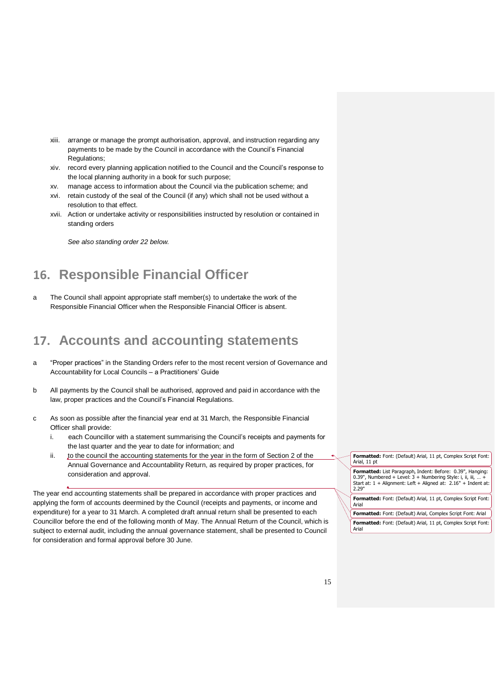- xiii. arrange or manage the prompt authorisation, approval, and instruction regarding any payments to be made by the Council in accordance with the Council's Financial Regulations;
- xiv. record every planning application notified to the Council and the Council's response to the local planning authority in a book for such purpose;
- xv. manage access to information about the Council via the publication scheme; and
- xvi. retain custody of the seal of the Council (if any) which shall not be used without a resolution to that effect.
- xvii. Action or undertake activity or responsibilities instructed by resolution or contained in standing orders

*See also standing order 22 below.*

#### **16. Responsible Financial Officer**

a The Council shall appoint appropriate staff member(s) to undertake the work of the Responsible Financial Officer when the Responsible Financial Officer is absent.

#### **17. Accounts and accounting statements**

- a "Proper practices" in the Standing Orders refer to the most recent version of Governance and Accountability for Local Councils – a Practitioners' Guide
- b All payments by the Council shall be authorised, approved and paid in accordance with the law, proper practices and the Council's Financial Regulations.
- c As soon as possible after the financial year end at 31 March, the Responsible Financial Officer shall provide:
	- i. each Councillor with a statement summarising the Council's receipts and payments for the last quarter and the year to date for information; and
	- ii. to the council the accounting statements for the year in the form of Section 2 of the Annual Governance and Accountability Return, as required by proper practices, for consideration and approval.

The year end accounting statements shall be prepared in accordance with proper practices and applying the form of accounts deermined by the Council (receipts and payments, or income and expenditure) for a year to 31 March. A completed draft annual return shall be presented to each Councillor before the end of the following month of May. The Annual Return of the Council, which is subject to external audit, including the annual governance statement, shall be presented to Council for consideration and formal approval before 30 June.

**Formatted:** Font: (Default) Arial, 11 pt, Complex Script Font: Arial, 11 pt

**Formatted:** List Paragraph, Indent: Before: 0.39", Hanging: 0.39", Numbered + Level: 3 + Numbering Style: i, ii, iii, … + Start at: 1 + Alignment: Left + Aligned at: 2.16" + Indent at: 2.29"

**Formatted:** Font: (Default) Arial, 11 pt, Complex Script Font: Arial

**Formatted:** Font: (Default) Arial, Complex Script Font: Arial **Formatted:** Font: (Default) Arial, 11 pt, Complex Script Font: Arial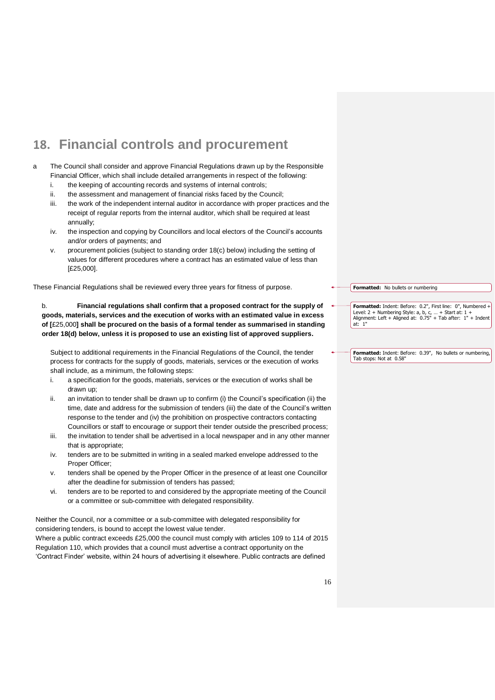#### **18. Financial controls and procurement**

- a The Council shall consider and approve Financial Regulations drawn up by the Responsible Financial Officer, which shall include detailed arrangements in respect of the following:
	- i. the keeping of accounting records and systems of internal controls;
	- ii. the assessment and management of financial risks faced by the Council;
	- iii. the work of the independent internal auditor in accordance with proper practices and the receipt of regular reports from the internal auditor, which shall be required at least annually;
	- iv. the inspection and copying by Councillors and local electors of the Council's accounts and/or orders of payments; and
	- v. procurement policies (subject to standing order 18(c) below) including the setting of values for different procedures where a contract has an estimated value of less than [£25,000].

These Financial Regulations shall be reviewed every three years for fitness of purpose.

#### b. **Financial regulations shall confirm that a proposed contract for the supply of goods, materials, services and the execution of works with an estimated value in excess of [**£25,000**] shall be procured on the basis of a formal tender as summarised in standing order 18(d) below, unless it is proposed to use an existing list of approved suppliers.**

Subject to additional requirements in the Financial Regulations of the Council, the tender process for contracts for the supply of goods, materials, services or the execution of works shall include, as a minimum, the following steps:

- i. a specification for the goods, materials, services or the execution of works shall be drawn up;
- ii. an invitation to tender shall be drawn up to confirm (i) the Council's specification (ii) the time, date and address for the submission of tenders (iii) the date of the Council's written response to the tender and (iv) the prohibition on prospective contractors contacting Councillors or staff to encourage or support their tender outside the prescribed process;
- iii. the invitation to tender shall be advertised in a local newspaper and in any other manner that is appropriate;
- iv. tenders are to be submitted in writing in a sealed marked envelope addressed to the Proper Officer;
- v. tenders shall be opened by the Proper Officer in the presence of at least one Councillor after the deadline for submission of tenders has passed;
- vi. tenders are to be reported to and considered by the appropriate meeting of the Council or a committee or sub-committee with delegated responsibility.

Neither the Council, nor a committee or a sub-committee with delegated responsibility for considering tenders, is bound to accept the lowest value tender.

Where a public contract exceeds £25,000 the council must comply with articles 109 to 114 of 2015 Regulation 110, which provides that a council must advertise a contract opportunity on the 'Contract Finder' website, within 24 hours of advertising it elsewhere. Public contracts are defined

**Formatted:** No bullets or numbering

**Formatted:** Indent: Before: 0.2", First line: 0", Numbered + Level: 2 + Numbering Style: a, b, c, … + Start at: 1 + Alignment: Left + Aligned at: 0.75" + Tab after: 1" + Indent at: 1"

**Formatted:** Indent: Before: 0.39", No bullets or numbering, Tab stops: Not at 0.58"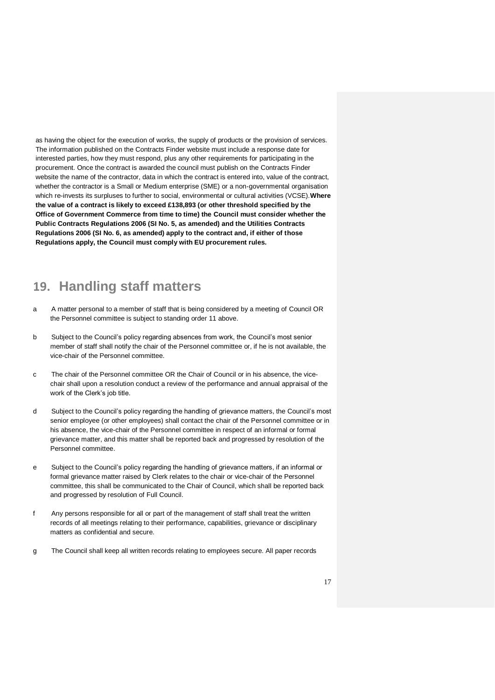as having the object for the execution of works, the supply of products or the provision of services. The information published on the Contracts Finder website must include a response date for interested parties, how they must respond, plus any other requirements for participating in the procurement. Once the contract is awarded the council must publish on the Contracts Finder website the name of the contractor, data in which the contract is entered into, value of the contract, whether the contractor is a Small or Medium enterprise (SME) or a non-governmental organisation which re-invests its surpluses to further to social, environmental or cultural activities (VCSE).**Where the value of a contract is likely to exceed £138,893 (or other threshold specified by the Office of Government Commerce from time to time) the Council must consider whether the Public Contracts Regulations 2006 (SI No. 5, as amended) and the Utilities Contracts Regulations 2006 (SI No. 6, as amended) apply to the contract and, if either of those Regulations apply, the Council must comply with EU procurement rules.**

#### **19. Handling staff matters**

- a A matter personal to a member of staff that is being considered by a meeting of Council OR the Personnel committee is subject to standing order 11 above.
- b Subject to the Council's policy regarding absences from work, the Council's most senior member of staff shall notify the chair of the Personnel committee or, if he is not available, the vice-chair of the Personnel committee.
- c The chair of the Personnel committee OR the Chair of Council or in his absence, the vicechair shall upon a resolution conduct a review of the performance and annual appraisal of the work of the Clerk's job title.
- d Subject to the Council's policy regarding the handling of grievance matters, the Council's most senior employee (or other employees) shall contact the chair of the Personnel committee or in his absence, the vice-chair of the Personnel committee in respect of an informal or formal grievance matter, and this matter shall be reported back and progressed by resolution of the Personnel committee.
- e Subject to the Council's policy regarding the handling of grievance matters, if an informal or formal grievance matter raised by Clerk relates to the chair or vice-chair of the Personnel committee, this shall be communicated to the Chair of Council, which shall be reported back and progressed by resolution of Full Council.
- f Any persons responsible for all or part of the management of staff shall treat the written records of all meetings relating to their performance, capabilities, grievance or disciplinary matters as confidential and secure.
- g The Council shall keep all written records relating to employees secure. All paper records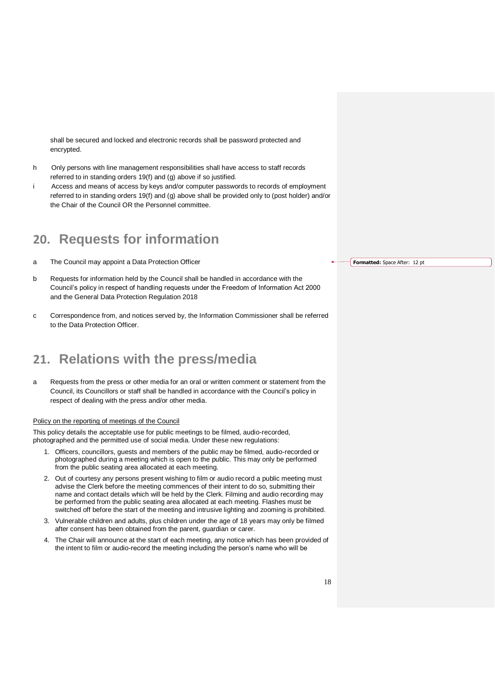shall be secured and locked and electronic records shall be password protected and encrypted.

- h Only persons with line management responsibilities shall have access to staff records referred to in standing orders 19(f) and (g) above if so justified.
- Access and means of access by keys and/or computer passwords to records of employment referred to in standing orders 19(f) and (g) above shall be provided only to (post holder) and/or the Chair of the Council OR the Personnel committee.

#### **20. Requests for information**

- a The Council may appoint a Data Protection Officer
- b Requests for information held by the Council shall be handled in accordance with the Council's policy in respect of handling requests under the Freedom of Information Act 2000 and the General Data Protection Regulation 2018
- c Correspondence from, and notices served by, the Information Commissioner shall be referred to the Data Protection Officer.

#### **21. Relations with the press/media**

a Requests from the press or other media for an oral or written comment or statement from the Council, its Councillors or staff shall be handled in accordance with the Council's policy in respect of dealing with the press and/or other media.

#### Policy on the reporting of meetings of the Council

This policy details the acceptable use for public meetings to be filmed, audio-recorded, photographed and the permitted use of social media. Under these new regulations:

- 1. Officers, councillors, guests and members of the public may be filmed, audio-recorded or photographed during a meeting which is open to the public. This may only be performed from the public seating area allocated at each meeting.
- 2. Out of courtesy any persons present wishing to film or audio record a public meeting must advise the Clerk before the meeting commences of their intent to do so, submitting their name and contact details which will be held by the Clerk. Filming and audio recording may be performed from the public seating area allocated at each meeting. Flashes must be switched off before the start of the meeting and intrusive lighting and zooming is prohibited.
- 3. Vulnerable children and adults, plus children under the age of 18 years may only be filmed after consent has been obtained from the parent, guardian or carer.
- 4. The Chair will announce at the start of each meeting, any notice which has been provided of the intent to film or audio-record the meeting including the person's name who will be

**Formatted:** Space After: 12 pt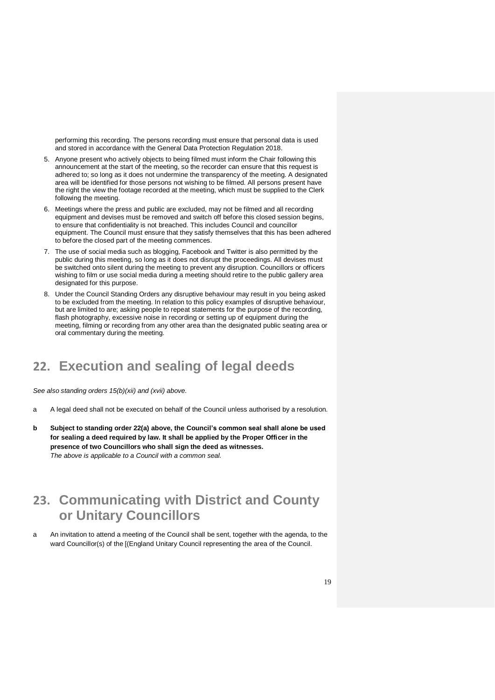performing this recording. The persons recording must ensure that personal data is used and stored in accordance with the General Data Protection Regulation 2018.

- 5. Anyone present who actively objects to being filmed must inform the Chair following this announcement at the start of the meeting, so the recorder can ensure that this request is adhered to; so long as it does not undermine the transparency of the meeting. A designated area will be identified for those persons not wishing to be filmed. All persons present have the right the view the footage recorded at the meeting, which must be supplied to the Clerk following the meeting.
- 6. Meetings where the press and public are excluded, may not be filmed and all recording equipment and devises must be removed and switch off before this closed session begins, to ensure that confidentiality is not breached. This includes Council and councillor equipment. The Council must ensure that they satisfy themselves that this has been adhered to before the closed part of the meeting commences.
- 7. The use of social media such as blogging, Facebook and Twitter is also permitted by the public during this meeting, so long as it does not disrupt the proceedings. All devises must be switched onto silent during the meeting to prevent any disruption. Councillors or officers wishing to film or use social media during a meeting should retire to the public gallery area designated for this purpose.
- 8. Under the Council Standing Orders any disruptive behaviour may result in you being asked to be excluded from the meeting. In relation to this policy examples of disruptive behaviour, but are limited to are; asking people to repeat statements for the purpose of the recording, flash photography, excessive noise in recording or setting up of equipment during the meeting, filming or recording from any other area than the designated public seating area or oral commentary during the meeting.

#### **22. Execution and sealing of legal deeds**

*See also standing orders 15(b)(xii) and (xvii) above.*

- a A legal deed shall not be executed on behalf of the Council unless authorised by a resolution.
- **b Subject to standing order 22(a) above, the Council's common seal shall alone be used for sealing a deed required by law. It shall be applied by the Proper Officer in the presence of two Councillors who shall sign the deed as witnesses.** *The above is applicable to a Council with a common seal.*

#### **23. Communicating with District and County or Unitary Councillors**

a An invitation to attend a meeting of the Council shall be sent, together with the agenda, to the ward Councillor(s) of the [(England Unitary Council representing the area of the Council.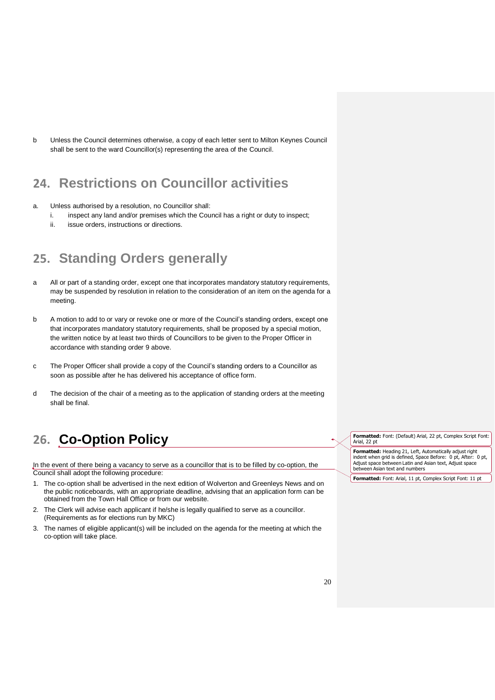b Unless the Council determines otherwise, a copy of each letter sent to Milton Keynes Council shall be sent to the ward Councillor(s) representing the area of the Council.

#### **24. Restrictions on Councillor activities**

- a. Unless authorised by a resolution, no Councillor shall:
	- i. inspect any land and/or premises which the Council has a right or duty to inspect;
	- ii. issue orders, instructions or directions.

#### **25. Standing Orders generally**

- a All or part of a standing order, except one that incorporates mandatory statutory requirements, may be suspended by resolution in relation to the consideration of an item on the agenda for a meeting.
- b A motion to add to or vary or revoke one or more of the Council's standing orders, except one that incorporates mandatory statutory requirements, shall be proposed by a special motion, the written notice by at least two thirds of Councillors to be given to the Proper Officer in accordance with standing order 9 above.
- c The Proper Officer shall provide a copy of the Council's standing orders to a Councillor as soon as possible after he has delivered his acceptance of office form.
- d The decision of the chair of a meeting as to the application of standing orders at the meeting shall be final.

#### **26. Co-Option Policy**

In the event of there being a vacancy to serve as a councillor that is to be filled by co-option, the Council shall adopt the following procedure:

- 1. The co-option shall be advertised in the next edition of Wolverton and Greenleys News and on the public noticeboards, with an appropriate deadline, advising that an application form can be obtained from the Town Hall Office or from our website.
- 2. The Clerk will advise each applicant if he/she is legally qualified to serve as a councillor. (Requirements as for elections run by MKC)
- 3. The names of eligible applicant(s) will be included on the agenda for the meeting at which the co-option will take place.

**Formatted:** Font: (Default) Arial, 22 pt, Complex Script Font: Arial, 22 pt

**Formatted:** Heading 21, Left, Automatically adjust right indent when grid is defined, Space Before: 0 pt, After: 0 pt, Adjust space between Latin and Asian text, Adjust space between Asian text and numbers

**Formatted:** Font: Arial, 11 pt, Complex Script Font: 11 pt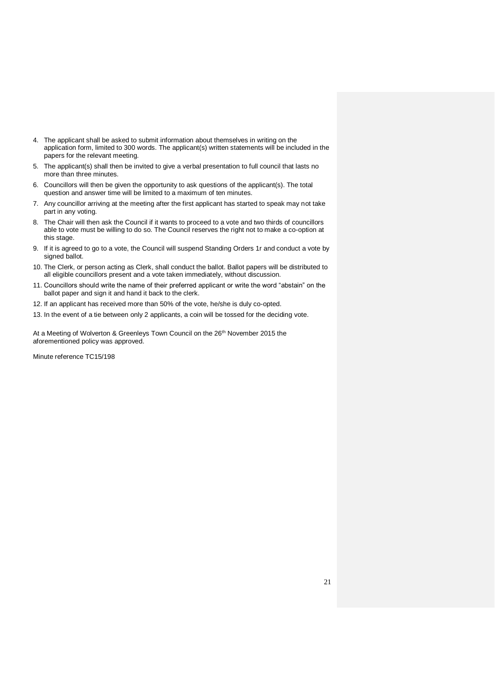- 4. The applicant shall be asked to submit information about themselves in writing on the application form, limited to 300 words. The applicant(s) written statements will be included in the papers for the relevant meeting.
- 5. The applicant(s) shall then be invited to give a verbal presentation to full council that lasts no more than three minutes.
- 6. Councillors will then be given the opportunity to ask questions of the applicant(s). The total question and answer time will be limited to a maximum of ten minutes.
- 7. Any councillor arriving at the meeting after the first applicant has started to speak may not take part in any voting.
- 8. The Chair will then ask the Council if it wants to proceed to a vote and two thirds of councillors able to vote must be willing to do so. The Council reserves the right not to make a co-option at this stage.
- 9. If it is agreed to go to a vote, the Council will suspend Standing Orders 1r and conduct a vote by signed ballot.
- 10. The Clerk, or person acting as Clerk, shall conduct the ballot. Ballot papers will be distributed to all eligible councillors present and a vote taken immediately, without discussion.
- 11. Councillors should write the name of their preferred applicant or write the word "abstain" on the ballot paper and sign it and hand it back to the clerk.
- 12. If an applicant has received more than 50% of the vote, he/she is duly co-opted.
- 13. In the event of a tie between only 2 applicants, a coin will be tossed for the deciding vote.

At a Meeting of Wolverton & Greenleys Town Council on the 26<sup>th</sup> November 2015 the aforementioned policy was approved.

Minute reference TC15/198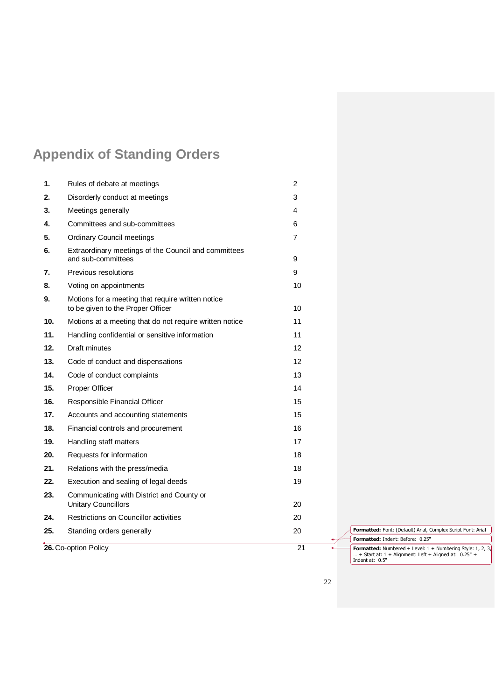## **Appendix of Standing Orders**

| 26. Co-option Policy |                                                                                        | 21 |
|----------------------|----------------------------------------------------------------------------------------|----|
| 25.                  | Standing orders generally                                                              | 20 |
| 24.                  | Restrictions on Councillor activities                                                  | 20 |
| 23.                  | Communicating with District and County or<br><b>Unitary Councillors</b>                | 20 |
| 22.                  | Execution and sealing of legal deeds                                                   | 19 |
| 21.                  | Relations with the press/media                                                         | 18 |
| 20.                  | Requests for information                                                               | 18 |
| 19.                  | Handling staff matters                                                                 | 17 |
| 18.                  | Financial controls and procurement                                                     | 16 |
| 17.                  | Accounts and accounting statements                                                     | 15 |
| 16.                  | Responsible Financial Officer                                                          | 15 |
| 15.                  | <b>Proper Officer</b>                                                                  | 14 |
| 14.                  | Code of conduct complaints                                                             | 13 |
| 13.                  | Code of conduct and dispensations                                                      | 12 |
| 12.                  | Draft minutes                                                                          | 12 |
| 11.                  | Handling confidential or sensitive information                                         | 11 |
| 10.                  | Motions at a meeting that do not require written notice                                | 11 |
| 9.                   | Motions for a meeting that require written notice<br>to be given to the Proper Officer | 10 |
| 8.                   | Voting on appointments                                                                 | 10 |
| 7.                   | Previous resolutions                                                                   | 9  |
| 6.                   | Extraordinary meetings of the Council and committees<br>and sub-committees             | 9  |
| 5.                   | <b>Ordinary Council meetings</b>                                                       | 7  |
| 4.                   | Committees and sub-committees                                                          | 6  |
| 3.                   | Meetings generally                                                                     | 4  |
| 2.                   | Disorderly conduct at meetings                                                         | 3  |
| 1.                   | Rules of debate at meetings                                                            | 2  |

**Formatted:** Font: (Default) Arial, Complex Script Font: Arial **Formatted:** Indent: Before: 0.25" **Formatted:** Numbered + Level: 1 + Numbering Style: 1, 2, 3,<br>... + Start at: 1 + Alignment: Left + Aligned at: 0.25" +<br>Indent at: 0.5"

22